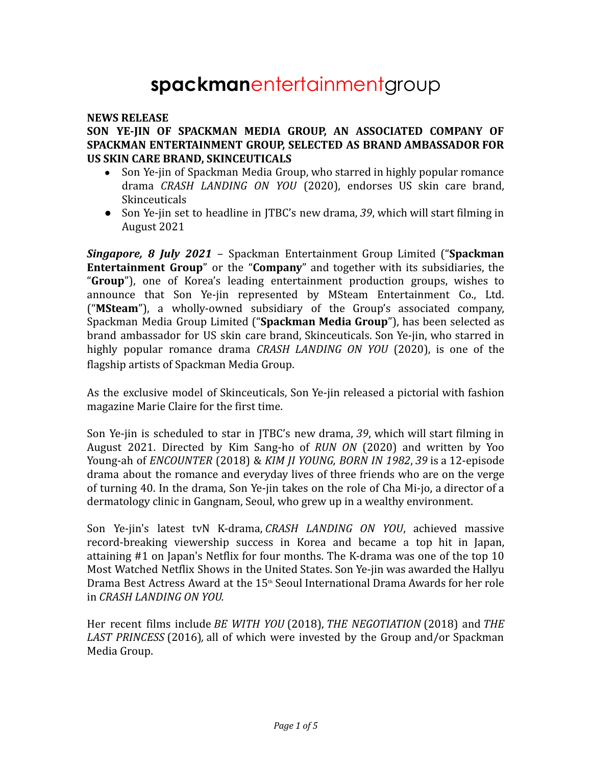# **spackman**entertainmentgroup

#### **NEWS RELEASE**

#### **SON YE-JIN OF SPACKMAN MEDIA GROUP, AN ASSOCIATED COMPANY OF SPACKMAN ENTERTAINMENT GROUP, SELECTED AS BRAND AMBASSADOR FOR US SKIN CARE BRAND, SKINCEUTICALS**

- Son Ye-jin of Spackman Media Group, who starred in highly popular romance drama *CRASH LANDING ON YOU* (2020), endorses US skin care brand, **Skinceuticals**
- *●* Son Ye-jin set to headline in JTBC's new drama, *39*, which will start filming in August 2021

*Singapore, 8 July 2021* – Spackman Entertainment Group Limited ("**Spackman Entertainment Group**" or the "**Company**" and together with its subsidiaries, the "**Group**"), one of Korea's leading entertainment production groups, wishes to announce that Son Ye-jin represented by MSteam Entertainment Co., Ltd. ("**MSteam**"), a wholly-owned subsidiary of the Group's associated company, Spackman Media Group Limited ("**Spackman Media Group**"), has been selected as brand ambassador for US skin care brand, Skinceuticals. Son Ye-jin, who starred in highly popular romance drama *CRASH LANDING ON YOU* (2020), is one of the flagship artists of Spackman Media Group.

As the exclusive model of Skinceuticals, Son Ye-jin released a pictorial with fashion magazine Marie Claire for the first time.

Son Ye-jin is scheduled to star in JTBC's new drama, *39*, which will start filming in August 2021. Directed by Kim Sang-ho of *RUN ON* (2020) and written by Yoo Young-ah of *ENCOUNTER* (2018) & *KIM JI YOUNG, BORN IN 1982*, *39* is a 12-episode drama about the romance and everyday lives of three friends who are on the verge of turning 40. In the drama, Son Ye-jin takes on the role of Cha Mi-jo, a director of a dermatology clinic in Gangnam, Seoul, who grew up in a wealthy environment.

Son Ye-jin's latest tvN K-drama, *CRASH LANDING ON YOU*, achieved massive record-breaking viewership success in Korea and became a top hit in Japan, attaining #1 on Japan's Netflix for four months. The K-drama was one of the top 10 Most Watched Netflix Shows in the United States. Son Ye-jin was awarded the Hallyu Drama Best Actress Award at the 15<sup>th</sup> Seoul International Drama Awards for her role in *CRASH LANDING ON YOU.*

Her recent films include *BE WITH YOU* (2018), *THE NEGOTIATION* (2018) and *THE LAST PRINCESS* (2016)*,* all of which were invested by the Group and/or Spackman Media Group.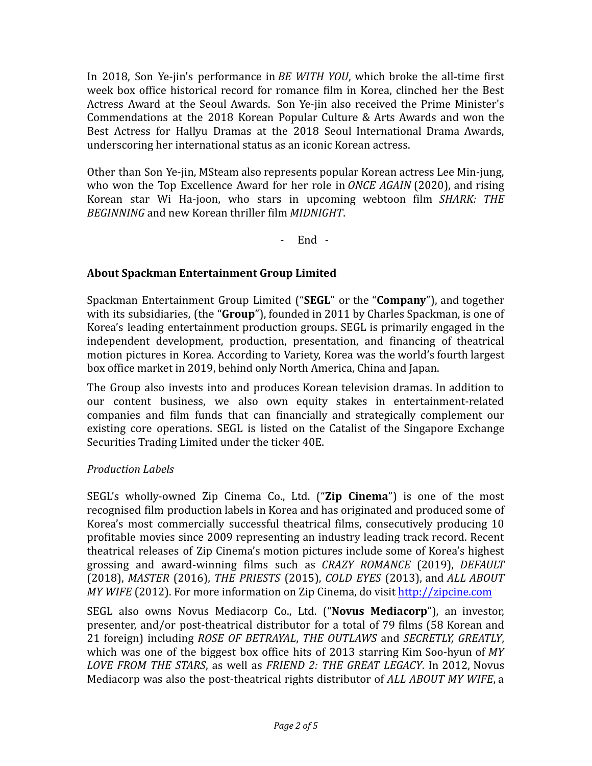In 2018, Son Ye-jin's performance in *BE WITH YOU*, which broke the all-time first week box office historical record for romance film in Korea, clinched her the Best Actress Award at the Seoul Awards. Son Ye-jin also received the Prime Minister's Commendations at the 2018 Korean Popular Culture & Arts Awards and won the Best Actress for Hallyu Dramas at the 2018 Seoul International Drama Awards, underscoring her international status as an iconic Korean actress.

Other than Son Ye-jin, MSteam also represents popular Korean actress Lee Min-jung, who won the Top Excellence Award for her role in *ONCE AGAIN* (2020), and rising Korean star Wi Ha-joon, who stars in upcoming webtoon film *SHARK: THE BEGINNING* and new Korean thriller film *MIDNIGHT*.

- End -

## **About Spackman Entertainment Group Limited**

Spackman Entertainment Group Limited ("**SEGL**" or the "**Company**"), and together with its subsidiaries, (the "**Group**"), founded in 2011 by Charles Spackman, is one of Korea's leading entertainment production groups. SEGL is primarily engaged in the independent development, production, presentation, and financing of theatrical motion pictures in Korea. According to Variety, Korea was the world's fourth largest box office market in 2019, behind only North America, China and Japan.

The Group also invests into and produces Korean television dramas. In addition to our content business, we also own equity stakes in entertainment-related companies and film funds that can financially and strategically complement our existing core operations. SEGL is listed on the Catalist of the Singapore Exchange Securities Trading Limited under the ticker 40E.

## *Production Labels*

SEGL's wholly-owned Zip Cinema Co., Ltd. ("**Zip Cinema**") is one of the most recognised film production labels in Korea and has originated and produced some of Korea's most commercially successful theatrical films, consecutively producing 10 profitable movies since 2009 representing an industry leading track record. Recent theatrical releases of Zip Cinema's motion pictures include some of Korea's highest grossing and award-winning films such as *CRAZY ROMANCE* (2019), *DEFAULT* (2018), *MASTER* (2016), *THE PRIESTS* (2015), *COLD EYES* (2013), and *ALL ABOUT MY WIFE* (2012). For more information on Zip Cinema, do visit <http://zipcine.com>

SEGL also owns Novus Mediacorp Co., Ltd. ("**Novus Mediacorp**"), an investor, presenter, and/or post-theatrical distributor for a total of 79 films (58 Korean and 21 foreign) including *ROSE OF BETRAYAL*, *THE OUTLAWS* and *SECRETLY, GREATLY*, which was one of the biggest box office hits of 2013 starring Kim Soo-hyun of *MY LOVE FROM THE STARS*, as well as *FRIEND 2: THE GREAT LEGACY*. In 2012, Novus Mediacorp was also the post-theatrical rights distributor of *ALL ABOUT MY WIFE*, a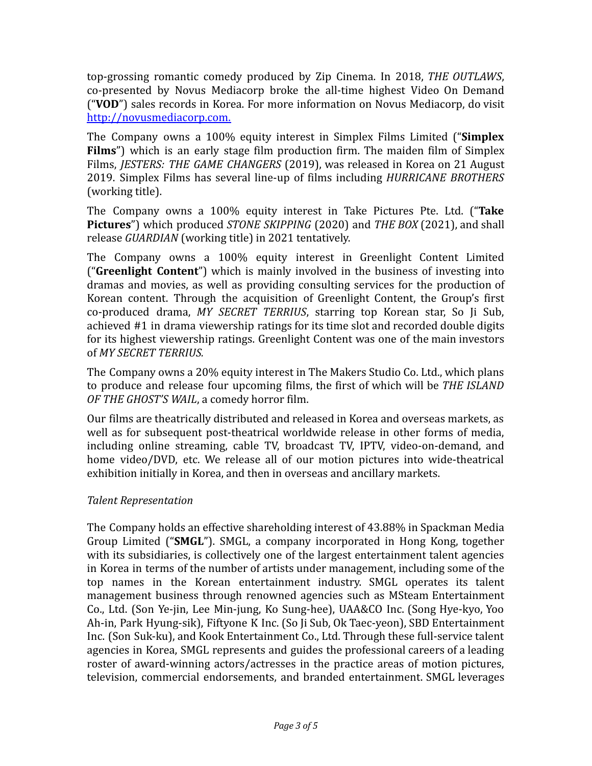top-grossing romantic comedy produced by Zip Cinema. In 2018, *THE OUTLAWS*, co-presented by Novus Mediacorp broke the all-time highest Video On Demand ("**VOD**") sales records in Korea. For more information on Novus Mediacorp, do visit <http://novusmediacorp.com>.

The Company owns a 100% equity interest in Simplex Films Limited ("**Simplex Films**") which is an early stage film production firm. The maiden film of Simplex Films, *JESTERS: THE GAME CHANGERS* (2019), was released in Korea on 21 August 2019. Simplex Films has several line-up of films including *HURRICANE BROTHERS* (working title).

The Company owns a 100% equity interest in Take Pictures Pte. Ltd. ("**Take Pictures**") which produced *STONE SKIPPING* (2020) and *THE BOX* (2021), and shall release *GUARDIAN* (working title) in 2021 tentatively.

The Company owns a 100% equity interest in Greenlight Content Limited ("**Greenlight Content**") which is mainly involved in the business of investing into dramas and movies, as well as providing consulting services for the production of Korean content. Through the acquisition of Greenlight Content, the Group's first co-produced drama, *MY SECRET TERRIUS*, starring top Korean star, So Ji Sub, achieved #1 in drama viewership ratings for its time slot and recorded double digits for its highest viewership ratings. Greenlight Content was one of the main investors of *MY SECRET TERRIUS.*

The Company owns a 20% equity interest in The Makers Studio Co. Ltd., which plans to produce and release four upcoming films, the first of which will be *THE ISLAND OF THE GHOST'S WAIL*, a comedy horror film.

Our films are theatrically distributed and released in Korea and overseas markets, as well as for subsequent post-theatrical worldwide release in other forms of media, including online streaming, cable TV, broadcast TV, IPTV, video-on-demand, and home video/DVD, etc. We release all of our motion pictures into wide-theatrical exhibition initially in Korea, and then in overseas and ancillary markets.

## *Talent Representation*

The Company holds an effective shareholding interest of 43.88% in Spackman Media Group Limited ("**SMGL**"). SMGL, a company incorporated in Hong Kong, together with its subsidiaries, is collectively one of the largest entertainment talent agencies in Korea in terms of the number of artists under management, including some of the top names in the Korean entertainment industry. SMGL operates its talent management business through renowned agencies such as MSteam Entertainment Co., Ltd. (Son Ye-jin, Lee Min-jung, Ko Sung-hee), UAA&CO Inc. (Song Hye-kyo, Yoo Ah-in, Park Hyung-sik), Fiftyone K Inc. (So Ji Sub, Ok Taec-yeon), SBD Entertainment Inc. (Son Suk-ku), and Kook Entertainment Co., Ltd. Through these full-service talent agencies in Korea, SMGL represents and guides the professional careers of a leading roster of award-winning actors/actresses in the practice areas of motion pictures, television, commercial endorsements, and branded entertainment. SMGL leverages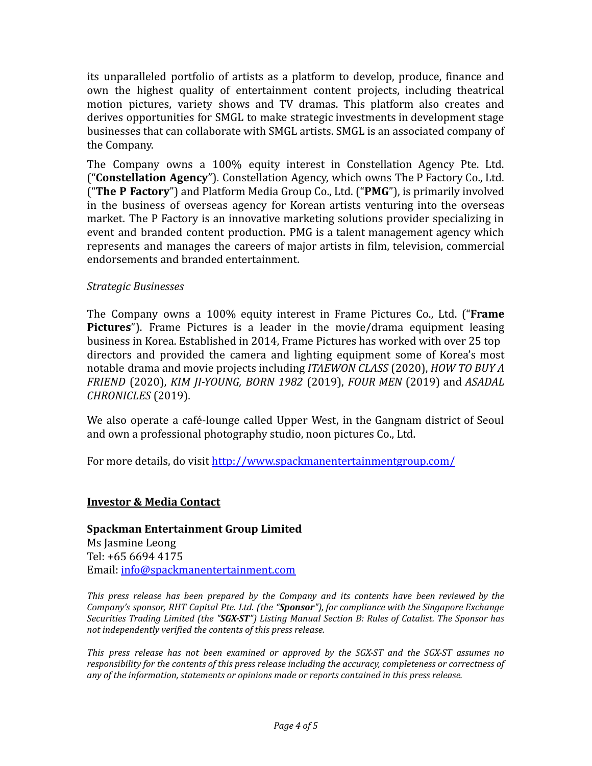its unparalleled portfolio of artists as a platform to develop, produce, finance and own the highest quality of entertainment content projects, including theatrical motion pictures, variety shows and TV dramas. This platform also creates and derives opportunities for SMGL to make strategic investments in development stage businesses that can collaborate with SMGL artists. SMGL is an associated company of the Company.

The Company owns a 100% equity interest in Constellation Agency Pte. Ltd. ("**Constellation Agency**"). Constellation Agency, which owns The P Factory Co., Ltd. ("**The P Factory**") and Platform Media Group Co., Ltd. ("**PMG**"), is primarily involved in the business of overseas agency for Korean artists venturing into the overseas market. The P Factory is an innovative marketing solutions provider specializing in event and branded content production. PMG is a talent management agency which represents and manages the careers of major artists in film, television, commercial endorsements and branded entertainment.

## *Strategic Businesses*

The Company owns a 100% equity interest in Frame Pictures Co., Ltd. ("**Frame Pictures**"). Frame Pictures is a leader in the movie/drama equipment leasing business in Korea. Established in 2014, Frame Pictures has worked with over 25 top directors and provided the camera and lighting equipment some of Korea's most notable drama and movie projects including *ITAEWON CLASS* (2020), *HOW TO BUY A FRIEND* (2020), *KIM JI-YOUNG, BORN 1982* (2019), *FOUR MEN* (2019) and *ASADAL CHRONICLES* (2019).

We also operate a café-lounge called Upper West, in the Gangnam district of Seoul and own a professional photography studio, noon pictures Co., Ltd.

For more details, do visit <http://www.spackmanentertainmentgroup.com/>

## **Investor & Media Contact**

**Spackman Entertainment Group Limited** Ms Jasmine Leong Tel: +65 6694 4175 Email: [info@spackmanentertainment.com](mailto:info@spackmanentertainment.com)

*This press release has been prepared by the Company and its contents have been reviewed by the Company's sponsor, RHT Capital Pte. Ltd. (the "Sponsor"), for compliance with the Singapore Exchange Securities Trading Limited (the "SGX-ST") Listing Manual Section B: Rules of Catalist. The Sponsor has not independently verified the contents of this press release.*

*This press release has not been examined or approved by the SGX-ST and the SGX-ST assumes no responsibility for the contents of this press release including the accuracy, completeness or correctness of any of the information, statements or opinions made or reports contained in this press release.*